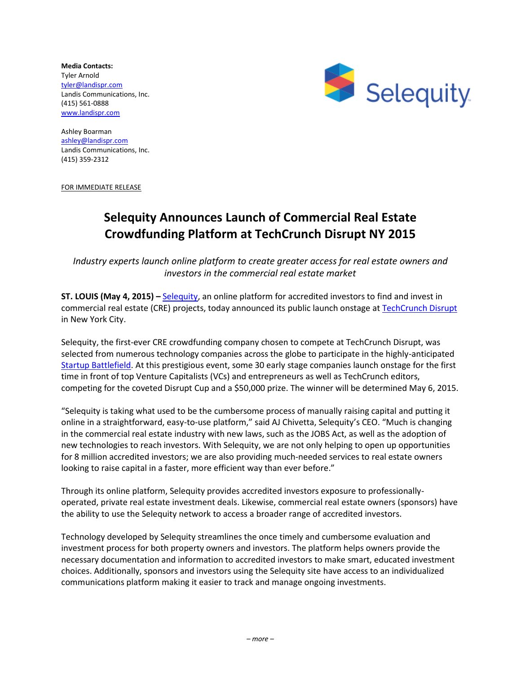**Media Contacts:**  Tyler Arnold [tyler@landispr.com](mailto:tyler@landispr.com) Landis Communications, Inc. (415) 561-0888 [www.landispr.com](http://www.landispr.com/)



Ashley Boarman [ashley@landispr.com](mailto:ashley@landispr.com) Landis Communications, Inc. (415) 359-2312

FOR IMMEDIATE RELEASE

## **Selequity Announces Launch of Commercial Real Estate Crowdfunding Platform at TechCrunch Disrupt NY 2015**

*Industry experts launch online platform to create greater access for real estate owners and investors in the commercial real estate market* 

**ST. LOUIS (May 4, 2015) – [Selequity,](http://www.selequity.com/) an online platform for accredited investors to find and invest in** commercial real estate (CRE) projects, today announced its public launch onstage at [TechCrunch Disrupt](http://techcrunch.com/event-type/disrupt/) in New York City.

Selequity, the first-ever CRE crowdfunding company chosen to compete at TechCrunch Disrupt, was selected from numerous technology companies across the globe to participate in the highly-anticipated [Startup Battlefield.](http://techcrunch.com/startup-battlefield/) At this prestigious event, some 30 early stage companies launch onstage for the first time in front of top Venture Capitalists (VCs) and entrepreneurs as well as TechCrunch editors, competing for the coveted Disrupt Cup and a \$50,000 prize. The winner will be determined May 6, 2015.

"Selequity is taking what used to be the cumbersome process of manually raising capital and putting it online in a straightforward, easy-to-use platform," said AJ Chivetta, Selequity's CEO. "Much is changing in the commercial real estate industry with new laws, such as the JOBS Act, as well as the adoption of new technologies to reach investors. With Selequity, we are not only helping to open up opportunities for 8 million accredited investors; we are also providing much-needed services to real estate owners looking to raise capital in a faster, more efficient way than ever before."

Through its online platform, Selequity provides accredited investors exposure to professionallyoperated, private real estate investment deals. Likewise, commercial real estate owners (sponsors) have the ability to use the Selequity network to access a broader range of accredited investors.

Technology developed by Selequity streamlines the once timely and cumbersome evaluation and investment process for both property owners and investors. The platform helps owners provide the necessary documentation and information to accredited investors to make smart, educated investment choices. Additionally, sponsors and investors using the Selequity site have access to an individualized communications platform making it easier to track and manage ongoing investments.